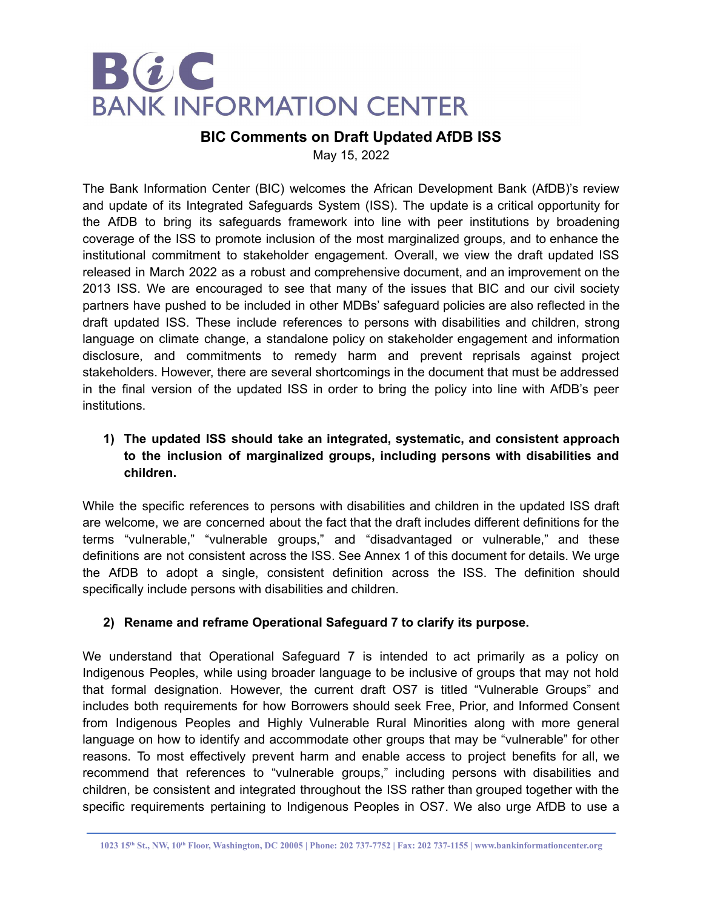

# **BIC Comments on Draft Updated AfDB ISS**

May 15, 2022

The Bank Information Center (BIC) welcomes the African Development Bank (AfDB)'s review and update of its Integrated Safeguards System (ISS). The update is a critical opportunity for the AfDB to bring its safeguards framework into line with peer institutions by broadening coverage of the ISS to promote inclusion of the most marginalized groups, and to enhance the institutional commitment to stakeholder engagement. Overall, we view the draft updated ISS released in March 2022 as a robust and comprehensive document, and an improvement on the 2013 ISS. We are encouraged to see that many of the issues that BIC and our civil society partners have pushed to be included in other MDBs' safeguard policies are also reflected in the draft updated ISS. These include references to persons with disabilities and children, strong language on climate change, a standalone policy on stakeholder engagement and information disclosure, and commitments to remedy harm and prevent reprisals against project stakeholders. However, there are several shortcomings in the document that must be addressed in the final version of the updated ISS in order to bring the policy into line with AfDB's peer institutions.

# **1) The updated ISS should take an integrated, systematic, and consistent approach to the inclusion of marginalized groups, including persons with disabilities and children.**

While the specific references to persons with disabilities and children in the updated ISS draft are welcome, we are concerned about the fact that the draft includes different definitions for the terms "vulnerable," "vulnerable groups," and "disadvantaged or vulnerable," and these definitions are not consistent across the ISS. See Annex 1 of this document for details. We urge the AfDB to adopt a single, consistent definition across the ISS. The definition should specifically include persons with disabilities and children.

# **2) Rename and reframe Operational Safeguard 7 to clarify its purpose.**

We understand that Operational Safeguard 7 is intended to act primarily as a policy on Indigenous Peoples, while using broader language to be inclusive of groups that may not hold that formal designation. However, the current draft OS7 is titled "Vulnerable Groups" and includes both requirements for how Borrowers should seek Free, Prior, and Informed Consent from Indigenous Peoples and Highly Vulnerable Rural Minorities along with more general language on how to identify and accommodate other groups that may be "vulnerable" for other reasons. To most effectively prevent harm and enable access to project benefits for all, we recommend that references to "vulnerable groups," including persons with disabilities and children, be consistent and integrated throughout the ISS rather than grouped together with the specific requirements pertaining to Indigenous Peoples in OS7. We also urge AfDB to use a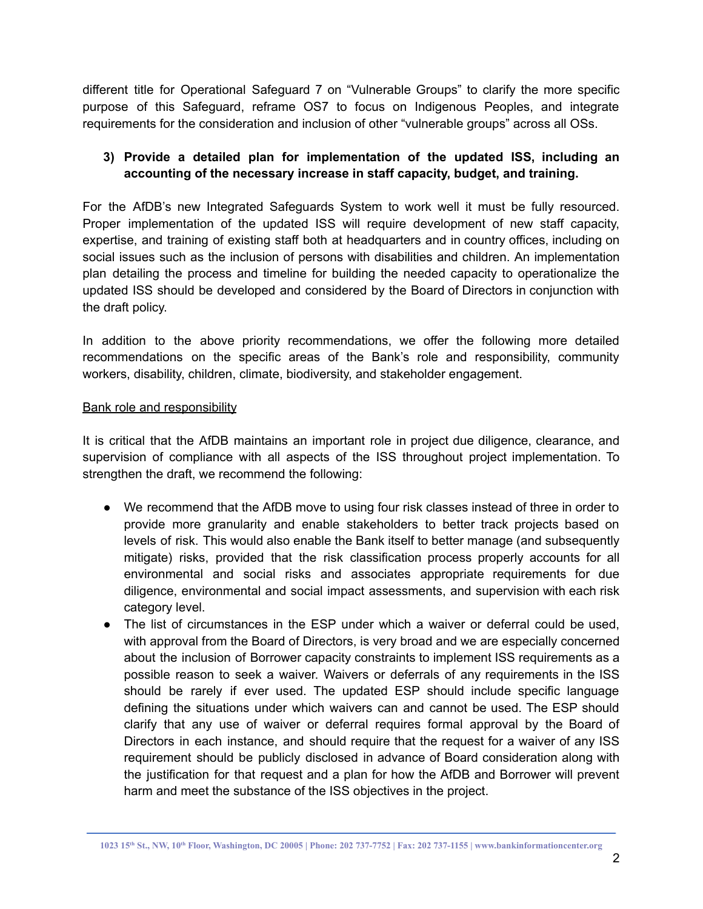different title for Operational Safeguard 7 on "Vulnerable Groups" to clarify the more specific purpose of this Safeguard, reframe OS7 to focus on Indigenous Peoples, and integrate requirements for the consideration and inclusion of other "vulnerable groups" across all OSs.

# **3) Provide a detailed plan for implementation of the updated ISS, including an accounting of the necessary increase in staff capacity, budget, and training.**

For the AfDB's new Integrated Safeguards System to work well it must be fully resourced. Proper implementation of the updated ISS will require development of new staff capacity, expertise, and training of existing staff both at headquarters and in country offices, including on social issues such as the inclusion of persons with disabilities and children. An implementation plan detailing the process and timeline for building the needed capacity to operationalize the updated ISS should be developed and considered by the Board of Directors in conjunction with the draft policy.

In addition to the above priority recommendations, we offer the following more detailed recommendations on the specific areas of the Bank's role and responsibility, community workers, disability, children, climate, biodiversity, and stakeholder engagement.

### Bank role and responsibility

It is critical that the AfDB maintains an important role in project due diligence, clearance, and supervision of compliance with all aspects of the ISS throughout project implementation. To strengthen the draft, we recommend the following:

- We recommend that the AfDB move to using four risk classes instead of three in order to provide more granularity and enable stakeholders to better track projects based on levels of risk. This would also enable the Bank itself to better manage (and subsequently mitigate) risks, provided that the risk classification process properly accounts for all environmental and social risks and associates appropriate requirements for due diligence, environmental and social impact assessments, and supervision with each risk category level.
- The list of circumstances in the ESP under which a waiver or deferral could be used, with approval from the Board of Directors, is very broad and we are especially concerned about the inclusion of Borrower capacity constraints to implement ISS requirements as a possible reason to seek a waiver. Waivers or deferrals of any requirements in the ISS should be rarely if ever used. The updated ESP should include specific language defining the situations under which waivers can and cannot be used. The ESP should clarify that any use of waiver or deferral requires formal approval by the Board of Directors in each instance, and should require that the request for a waiver of any ISS requirement should be publicly disclosed in advance of Board consideration along with the justification for that request and a plan for how the AfDB and Borrower will prevent harm and meet the substance of the ISS objectives in the project.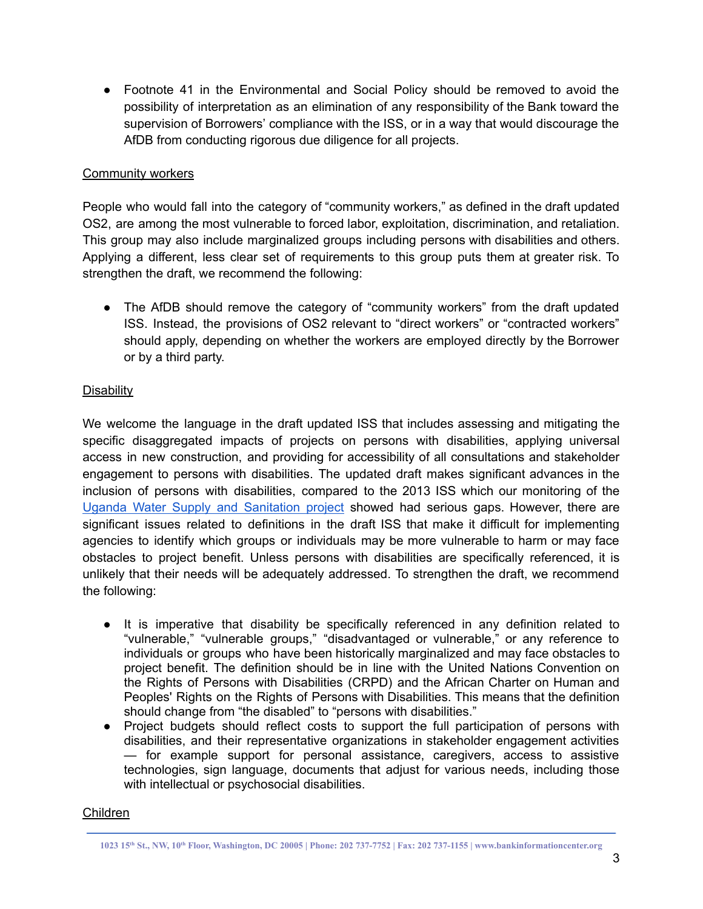● Footnote 41 in the Environmental and Social Policy should be removed to avoid the possibility of interpretation as an elimination of any responsibility of the Bank toward the supervision of Borrowers' compliance with the ISS, or in a way that would discourage the AfDB from conducting rigorous due diligence for all projects.

### Community workers

People who would fall into the category of "community workers," as defined in the draft updated OS2, are among the most vulnerable to forced labor, exploitation, discrimination, and retaliation. This group may also include marginalized groups including persons with disabilities and others. Applying a different, less clear set of requirements to this group puts them at greater risk. To strengthen the draft, we recommend the following:

• The AfDB should remove the category of "community workers" from the draft updated ISS. Instead, the provisions of OS2 relevant to "direct workers" or "contracted workers" should apply, depending on whether the workers are employed directly by the Borrower or by a third party.

# **Disability**

We welcome the language in the draft updated ISS that includes assessing and mitigating the specific disaggregated impacts of projects on persons with disabilities, applying universal access in new construction, and providing for accessibility of all consultations and stakeholder engagement to persons with disabilities. The updated draft makes significant advances in the inclusion of persons with disabilities, compared to the 2013 ISS which our monitoring of the Uganda Water Supply and [Sanitation](https://prismic-io.s3.amazonaws.com/bankinformationcenter/9f923bae-c68f-45ef-994b-6722a4cc7cfd_AfDB+project+2+pager-Uganda+WSSP.docx.pdf) project showed had serious gaps. However, there are significant issues related to definitions in the draft ISS that make it difficult for implementing agencies to identify which groups or individuals may be more vulnerable to harm or may face obstacles to project benefit. Unless persons with disabilities are specifically referenced, it is unlikely that their needs will be adequately addressed. To strengthen the draft, we recommend the following:

- It is imperative that disability be specifically referenced in any definition related to "vulnerable," "vulnerable groups," "disadvantaged or vulnerable," or any reference to individuals or groups who have been historically marginalized and may face obstacles to project benefit. The definition should be in line with the United Nations Convention on the Rights of Persons with Disabilities (CRPD) and the African Charter on Human and Peoples' Rights on the Rights of Persons with Disabilities. This means that the definition should change from "the disabled" to "persons with disabilities."
- Project budgets should reflect costs to support the full participation of persons with disabilities, and their representative organizations in stakeholder engagement activities — for example support for personal assistance, caregivers, access to assistive technologies, sign language, documents that adjust for various needs, including those with intellectual or psychosocial disabilities.

# Children

<sup>1023 15</sup>th St., NW, 10th Floor, Washington, DC 20005 | Phone: 202 737-7752 | Fax: 202 737-1155 | www.bankinformationcenter.org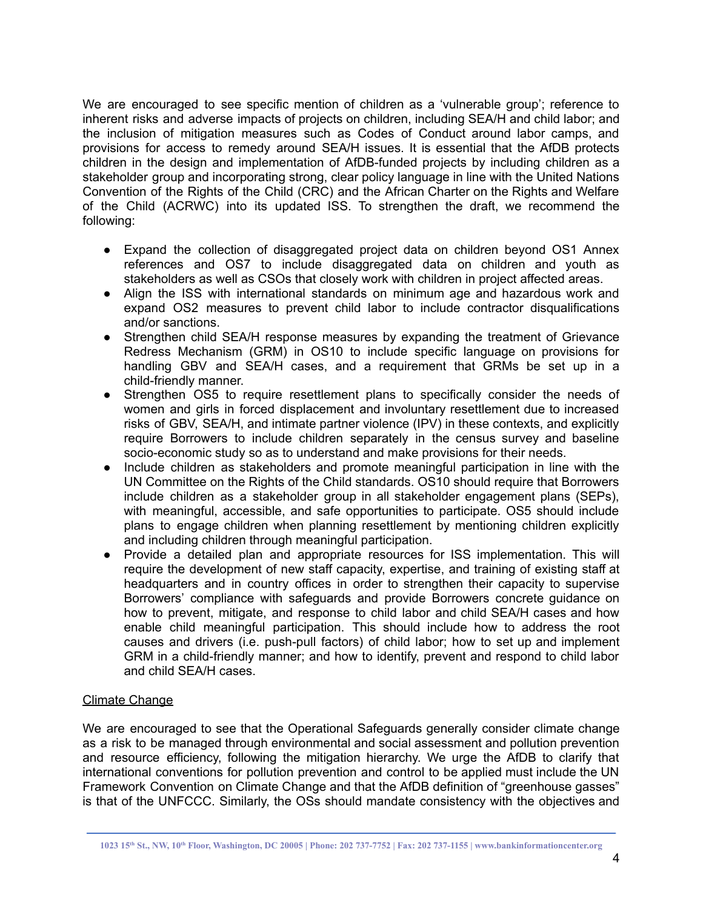We are encouraged to see specific mention of children as a 'vulnerable group'; reference to inherent risks and adverse impacts of projects on children, including SEA/H and child labor; and the inclusion of mitigation measures such as Codes of Conduct around labor camps, and provisions for access to remedy around SEA/H issues. It is essential that the AfDB protects children in the design and implementation of AfDB-funded projects by including children as a stakeholder group and incorporating strong, clear policy language in line with the United Nations Convention of the Rights of the Child (CRC) and the African Charter on the Rights and Welfare of the Child (ACRWC) into its updated ISS. To strengthen the draft, we recommend the following:

- **●** Expand the collection of disaggregated project data on children beyond OS1 Annex references and OS7 to include disaggregated data on children and youth as stakeholders as well as CSOs that closely work with children in project affected areas.
- **●** Align the ISS with international standards on minimum age and hazardous work and expand OS2 measures to prevent child labor to include contractor disqualifications and/or sanctions.
- **●** Strengthen child SEA/H response measures by expanding the treatment of Grievance Redress Mechanism (GRM) in OS10 to include specific language on provisions for handling GBV and SEA/H cases, and a requirement that GRMs be set up in a child-friendly manner.
- **●** Strengthen OS5 to require resettlement plans to specifically consider the needs of women and girls in forced displacement and involuntary resettlement due to increased risks of GBV, SEA/H, and intimate partner violence (IPV) in these contexts, and explicitly require Borrowers to include children separately in the census survey and baseline socio-economic study so as to understand and make provisions for their needs.
- **●** Include children as stakeholders and promote meaningful participation in line with the UN Committee on the Rights of the Child standards. OS10 should require that Borrowers include children as a stakeholder group in all stakeholder engagement plans (SEPs), with meaningful, accessible, and safe opportunities to participate. OS5 should include plans to engage children when planning resettlement by mentioning children explicitly and including children through meaningful participation.
- **●** Provide a detailed plan and appropriate resources for ISS implementation. This will require the development of new staff capacity, expertise, and training of existing staff at headquarters and in country offices in order to strengthen their capacity to supervise Borrowers' compliance with safeguards and provide Borrowers concrete guidance on how to prevent, mitigate, and response to child labor and child SEA/H cases and how enable child meaningful participation. This should include how to address the root causes and drivers (i.e. push-pull factors) of child labor; how to set up and implement GRM in a child-friendly manner; and how to identify, prevent and respond to child labor and child SEA/H cases.

### Climate Change

We are encouraged to see that the Operational Safeguards generally consider climate change as a risk to be managed through environmental and social assessment and pollution prevention and resource efficiency, following the mitigation hierarchy. We urge the AfDB to clarify that international conventions for pollution prevention and control to be applied must include the UN Framework Convention on Climate Change and that the AfDB definition of "greenhouse gasses" is that of the UNFCCC. Similarly, the OSs should mandate consistency with the objectives and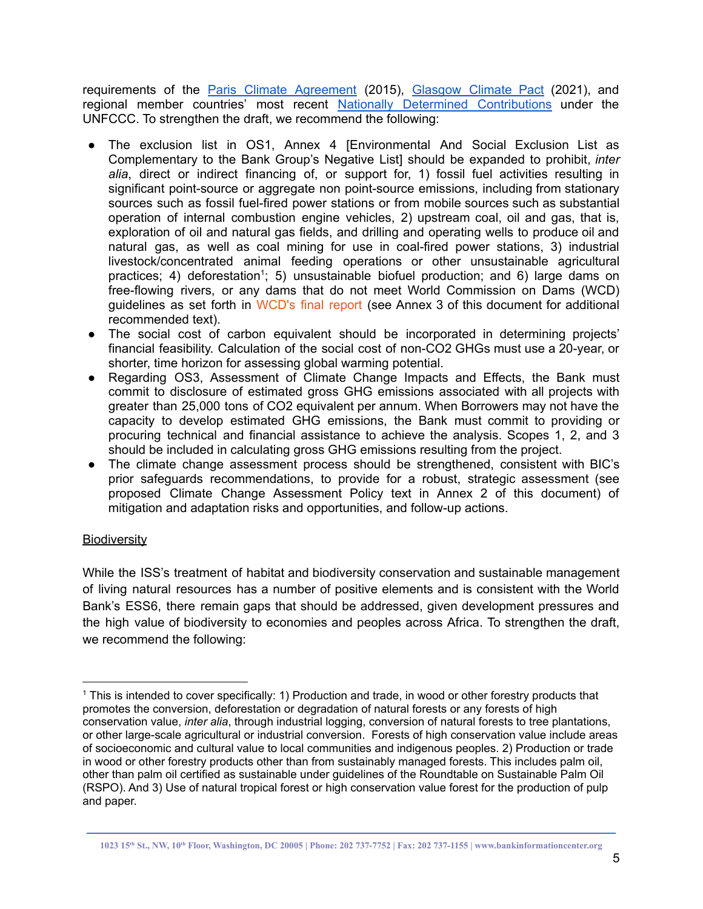requirements of the **Paris Climate [Agreement](https://unfccc.int/process-and-meetings/the-paris-agreement/the-paris-agreement)** (2015), [Glasgow](https://unfccc.int/process-and-meetings/the-paris-agreement/the-glasgow-climate-pact-key-outcomes-from-cop26) Climate Pact (2021), and regional member countries' most recent Nationally Determined [Contributions](https://unfccc.int/process-and-meetings/the-paris-agreement/nationally-determined-contributions-ndcs/nationally-determined-contributions-ndcs) under the UNFCCC. To strengthen the draft, we recommend the following:

- The exclusion list in OS1, Annex 4 [Environmental And Social Exclusion List as Complementary to the Bank Group's Negative List] should be expanded to prohibit, *inter alia*, direct or indirect financing of, or support for, 1) fossil fuel activities resulting in significant point-source or aggregate non point-source emissions, including from stationary sources such as fossil fuel-fired power stations or from mobile sources such as substantial operation of internal combustion engine vehicles, 2) upstream coal, oil and gas, that is, exploration of oil and natural gas fields, and drilling and operating wells to produce oil and natural gas, as well as coal mining for use in coal-fired power stations, 3) industrial livestock/concentrated animal feeding operations or other unsustainable agricultural practices; 4) deforestation<sup>1</sup>; 5) unsustainable biofuel production; and 6) large dams on free-flowing rivers, or any dams that do not meet World Commission on Dams (WCD) guidelines as set forth in [WCD's](https://archive.internationalrivers.org/node/3939) final report (see Annex 3 of this document for additional recommended text).
- The social cost of carbon equivalent should be incorporated in determining projects' financial feasibility. Calculation of the social cost of non-CO2 GHGs must use a 20-year, or shorter, time horizon for assessing global warming potential.
- Regarding OS3, Assessment of Climate Change Impacts and Effects, the Bank must commit to disclosure of estimated gross GHG emissions associated with all projects with greater than 25,000 tons of CO2 equivalent per annum. When Borrowers may not have the capacity to develop estimated GHG emissions, the Bank must commit to providing or procuring technical and financial assistance to achieve the analysis. Scopes 1, 2, and 3 should be included in calculating gross GHG emissions resulting from the project.
- The climate change assessment process should be strengthened, consistent with BIC's prior safeguards recommendations, to provide for a robust, strategic assessment (see proposed Climate Change Assessment Policy text in Annex 2 of this document) of mitigation and adaptation risks and opportunities, and follow-up actions.

### **Biodiversity**

While the ISS's treatment of habitat and biodiversity conservation and sustainable management of living natural resources has a number of positive elements and is consistent with the World Bank's ESS6, there remain gaps that should be addressed, given development pressures and the high value of biodiversity to economies and peoples across Africa. To strengthen the draft, we recommend the following:

<sup>1</sup> This is intended to cover specifically: 1) Production and trade, in wood or other forestry products that promotes the conversion, deforestation or degradation of natural forests or any forests of high conservation value, *inter alia*, through industrial logging, conversion of natural forests to tree plantations, or other large-scale agricultural or industrial conversion. Forests of high conservation value include areas of socioeconomic and cultural value to local communities and indigenous peoples. 2) Production or trade in wood or other forestry products other than from sustainably managed forests. This includes palm oil, other than palm oil certified as sustainable under guidelines of the Roundtable on Sustainable Palm Oil (RSPO). And 3) Use of natural tropical forest or high conservation value forest for the production of pulp and paper.

<sup>1023 15</sup>th St., NW, 10th Floor, Washington, DC 20005 | Phone: 202 737-7752 | Fax: 202 737-1155 | www.bankinformationcenter.org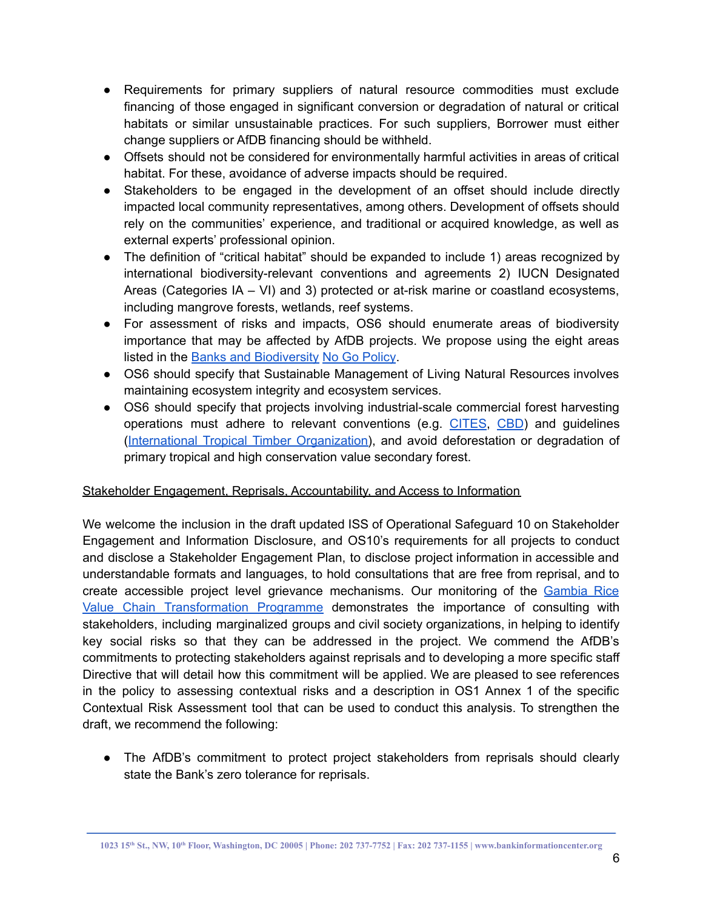- Requirements for primary suppliers of natural resource commodities must exclude financing of those engaged in significant conversion or degradation of natural or critical habitats or similar unsustainable practices. For such suppliers, Borrower must either change suppliers or AfDB financing should be withheld.
- Offsets should not be considered for environmentally harmful activities in areas of critical habitat. For these, avoidance of adverse impacts should be required.
- Stakeholders to be engaged in the development of an offset should include directly impacted local community representatives, among others. Development of offsets should rely on the communities' experience, and traditional or acquired knowledge, as well as external experts' professional opinion.
- The definition of "critical habitat" should be expanded to include 1) areas recognized by international biodiversity-relevant conventions and agreements 2) IUCN Designated Areas (Categories IA – VI) and 3) protected or at-risk marine or coastland ecosystems, including mangrove forests, wetlands, reef systems.
- For assessment of risks and impacts, OS6 should enumerate areas of biodiversity importance that may be affected by AfDB projects. We propose using the eight areas listed in the Banks and [Biodiversity](https://banksandbiodiversity.org/) No Go [Policy](https://banksandbiodiversity.org/the-banks-and-biodiversity-no-go-policy/).
- OS6 should specify that Sustainable Management of Living Natural Resources involves maintaining ecosystem integrity and ecosystem services.
- OS6 should specify that projects involving industrial-scale commercial forest harvesting operations must adhere to relevant conventions (e.g. [CITES](https://cites.org/sites/default/files/I/trees/List-of-Resolutions-post-CoP17-relevant-to-CITES-Tree-Species-min.pdf), [CBD](https://www.cbd.int/decision/cop/?id=11648)) and guidelines (International Tropical Timber [Organization\)](http://www.itto.int/direct/topics/topics_pdf_download/topics_id=104257&no=5), and avoid deforestation or degradation of primary tropical and high conservation value secondary forest.

# Stakeholder Engagement, Reprisals, Accountability, and Access to Information

We welcome the inclusion in the draft updated ISS of Operational Safeguard 10 on Stakeholder Engagement and Information Disclosure, and OS10's requirements for all projects to conduct and disclose a Stakeholder Engagement Plan, to disclose project information in accessible and understandable formats and languages, to hold consultations that are free from reprisal, and to create accessible project level grievance mechanisms. Our monitoring of the [Gambia](https://prismic-io.s3.amazonaws.com/bankinformationcenter/d63002dc-0b38-43f2-a228-f85b4efac3f4_gambia+afdb+2+pager+draft.pdf) Rice Value Chain [Transformation](https://prismic-io.s3.amazonaws.com/bankinformationcenter/d63002dc-0b38-43f2-a228-f85b4efac3f4_gambia+afdb+2+pager+draft.pdf) Programme demonstrates the importance of consulting with stakeholders, including marginalized groups and civil society organizations, in helping to identify key social risks so that they can be addressed in the project. We commend the AfDB's commitments to protecting stakeholders against reprisals and to developing a more specific staff Directive that will detail how this commitment will be applied. We are pleased to see references in the policy to assessing contextual risks and a description in OS1 Annex 1 of the specific Contextual Risk Assessment tool that can be used to conduct this analysis. To strengthen the draft, we recommend the following:

• The AfDB's commitment to protect project stakeholders from reprisals should clearly state the Bank's zero tolerance for reprisals.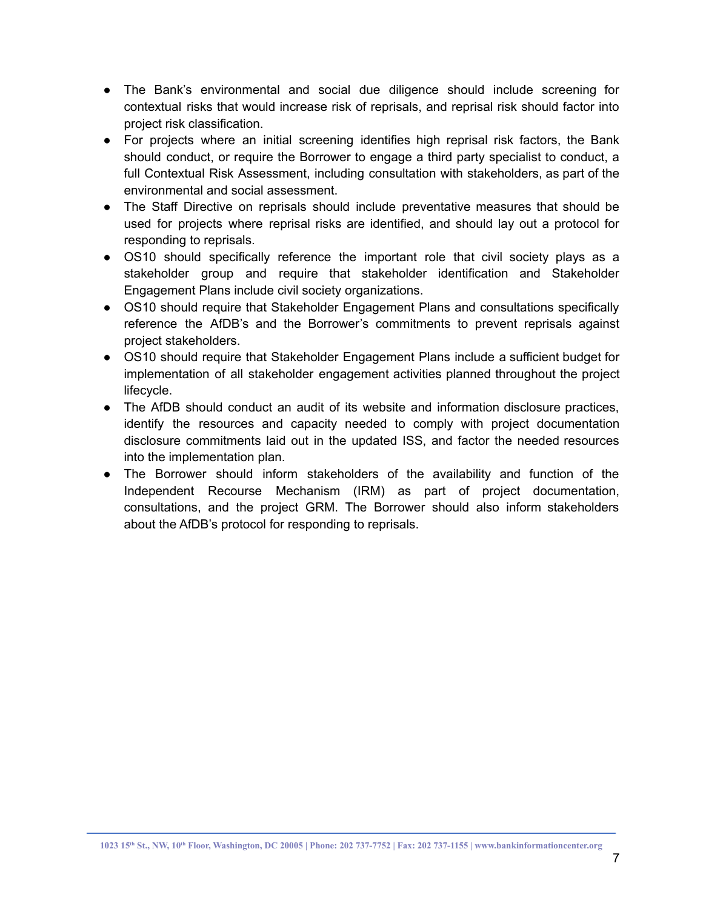- The Bank's environmental and social due diligence should include screening for contextual risks that would increase risk of reprisals, and reprisal risk should factor into project risk classification.
- For projects where an initial screening identifies high reprisal risk factors, the Bank should conduct, or require the Borrower to engage a third party specialist to conduct, a full Contextual Risk Assessment, including consultation with stakeholders, as part of the environmental and social assessment.
- The Staff Directive on reprisals should include preventative measures that should be used for projects where reprisal risks are identified, and should lay out a protocol for responding to reprisals.
- OS10 should specifically reference the important role that civil society plays as a stakeholder group and require that stakeholder identification and Stakeholder Engagement Plans include civil society organizations.
- OS10 should require that Stakeholder Engagement Plans and consultations specifically reference the AfDB's and the Borrower's commitments to prevent reprisals against project stakeholders.
- OS10 should require that Stakeholder Engagement Plans include a sufficient budget for implementation of all stakeholder engagement activities planned throughout the project lifecycle.
- The AfDB should conduct an audit of its website and information disclosure practices, identify the resources and capacity needed to comply with project documentation disclosure commitments laid out in the updated ISS, and factor the needed resources into the implementation plan.
- The Borrower should inform stakeholders of the availability and function of the Independent Recourse Mechanism (IRM) as part of project documentation, consultations, and the project GRM. The Borrower should also inform stakeholders about the AfDB's protocol for responding to reprisals.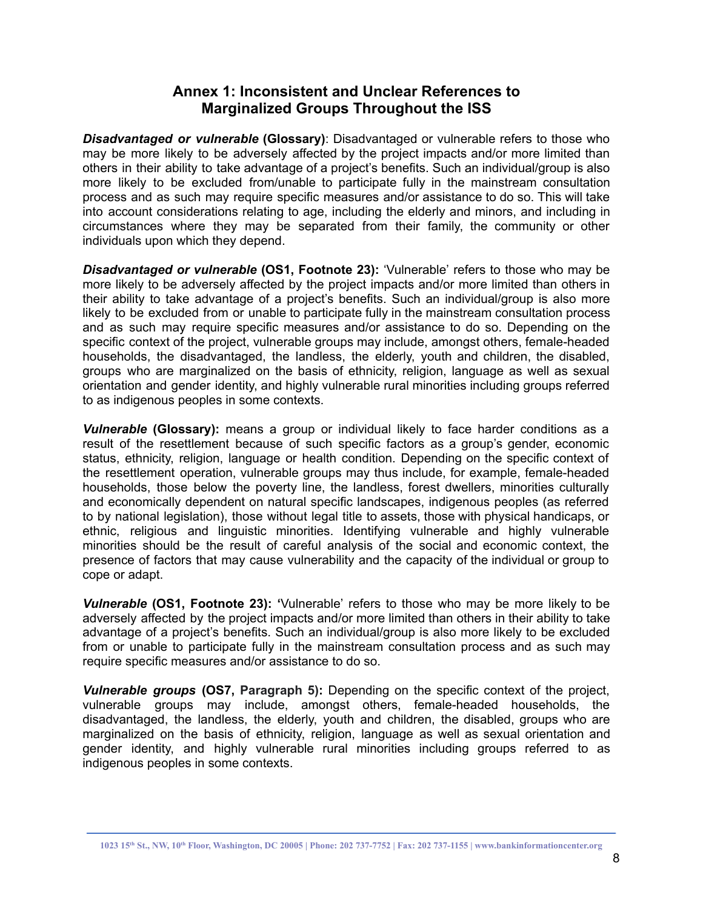# **Annex 1: Inconsistent and Unclear References to Marginalized Groups Throughout the ISS**

*Disadvantaged or vulnerable* **(Glossary)**: Disadvantaged or vulnerable refers to those who may be more likely to be adversely affected by the project impacts and/or more limited than others in their ability to take advantage of a project's benefits. Such an individual/group is also more likely to be excluded from/unable to participate fully in the mainstream consultation process and as such may require specific measures and/or assistance to do so. This will take into account considerations relating to age, including the elderly and minors, and including in circumstances where they may be separated from their family, the community or other individuals upon which they depend.

*Disadvantaged or vulnerable* **(OS1, Footnote 23):** 'Vulnerable' refers to those who may be more likely to be adversely affected by the project impacts and/or more limited than others in their ability to take advantage of a project's benefits. Such an individual/group is also more likely to be excluded from or unable to participate fully in the mainstream consultation process and as such may require specific measures and/or assistance to do so. Depending on the specific context of the project, vulnerable groups may include, amongst others, female-headed households, the disadvantaged, the landless, the elderly, youth and children, the disabled, groups who are marginalized on the basis of ethnicity, religion, language as well as sexual orientation and gender identity, and highly vulnerable rural minorities including groups referred to as indigenous peoples in some contexts.

*Vulnerable* **(Glossary):** means a group or individual likely to face harder conditions as a result of the resettlement because of such specific factors as a group's gender, economic status, ethnicity, religion, language or health condition. Depending on the specific context of the resettlement operation, vulnerable groups may thus include, for example, female-headed households, those below the poverty line, the landless, forest dwellers, minorities culturally and economically dependent on natural specific landscapes, indigenous peoples (as referred to by national legislation), those without legal title to assets, those with physical handicaps, or ethnic, religious and linguistic minorities. Identifying vulnerable and highly vulnerable minorities should be the result of careful analysis of the social and economic context, the presence of factors that may cause vulnerability and the capacity of the individual or group to cope or adapt.

*Vulnerable* **(OS1, Footnote 23): '**Vulnerable' refers to those who may be more likely to be adversely affected by the project impacts and/or more limited than others in their ability to take advantage of a project's benefits. Such an individual/group is also more likely to be excluded from or unable to participate fully in the mainstream consultation process and as such may require specific measures and/or assistance to do so.

*Vulnerable groups* **(OS7, Paragraph 5):** Depending on the specific context of the project, vulnerable groups may include, amongst others, female-headed households, the disadvantaged, the landless, the elderly, youth and children, the disabled, groups who are marginalized on the basis of ethnicity, religion, language as well as sexual orientation and gender identity, and highly vulnerable rural minorities including groups referred to as indigenous peoples in some contexts.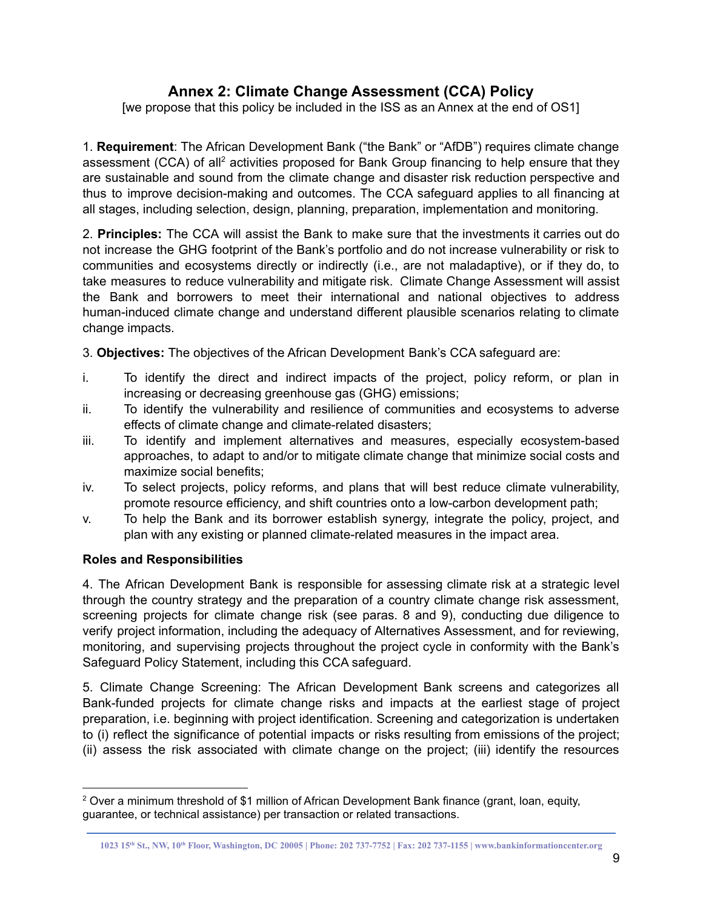# **Annex 2: Climate Change Assessment (CCA) Policy**

[we propose that this policy be included in the ISS as an Annex at the end of OS1]

1. **Requirement**: The African Development Bank ("the Bank" or "AfDB") requires climate change assessment (CCA) of all<sup>2</sup> activities proposed for Bank Group financing to help ensure that they are sustainable and sound from the climate change and disaster risk reduction perspective and thus to improve decision-making and outcomes. The CCA safeguard applies to all financing at all stages, including selection, design, planning, preparation, implementation and monitoring.

2. **Principles:** The CCA will assist the Bank to make sure that the investments it carries out do not increase the GHG footprint of the Bank's portfolio and do not increase vulnerability or risk to communities and ecosystems directly or indirectly (i.e., are not maladaptive), or if they do, to take measures to reduce vulnerability and mitigate risk. Climate Change Assessment will assist the Bank and borrowers to meet their international and national objectives to address human-induced climate change and understand different plausible scenarios relating to climate change impacts.

3. **Objectives:** The objectives of the African Development Bank's CCA safeguard are:

- i. To identify the direct and indirect impacts of the project, policy reform, or plan in increasing or decreasing greenhouse gas (GHG) emissions;
- ii. To identify the vulnerability and resilience of communities and ecosystems to adverse effects of climate change and climate-related disasters;
- iii. To identify and implement alternatives and measures, especially ecosystem-based approaches, to adapt to and/or to mitigate climate change that minimize social costs and maximize social benefits;
- iv. To select projects, policy reforms, and plans that will best reduce climate vulnerability, promote resource efficiency, and shift countries onto a low-carbon development path;
- v. To help the Bank and its borrower establish synergy, integrate the policy, project, and plan with any existing or planned climate-related measures in the impact area.

# **Roles and Responsibilities**

4. The African Development Bank is responsible for assessing climate risk at a strategic level through the country strategy and the preparation of a country climate change risk assessment, screening projects for climate change risk (see paras. 8 and 9), conducting due diligence to verify project information, including the adequacy of Alternatives Assessment, and for reviewing, monitoring, and supervising projects throughout the project cycle in conformity with the Bank's Safeguard Policy Statement, including this CCA safeguard.

5. Climate Change Screening: The African Development Bank screens and categorizes all Bank-funded projects for climate change risks and impacts at the earliest stage of project preparation, i.e. beginning with project identification. Screening and categorization is undertaken to (i) reflect the significance of potential impacts or risks resulting from emissions of the project; (ii) assess the risk associated with climate change on the project; (iii) identify the resources

<sup>&</sup>lt;sup>2</sup> Over a minimum threshold of \$1 million of African Development Bank finance (grant, loan, equity, guarantee, or technical assistance) per transaction or related transactions.

<sup>1023 15</sup>th St., NW, 10th Floor, Washington, DC 20005 | Phone: 202 737-7752 | Fax: 202 737-1155 | www.bankinformationcenter.org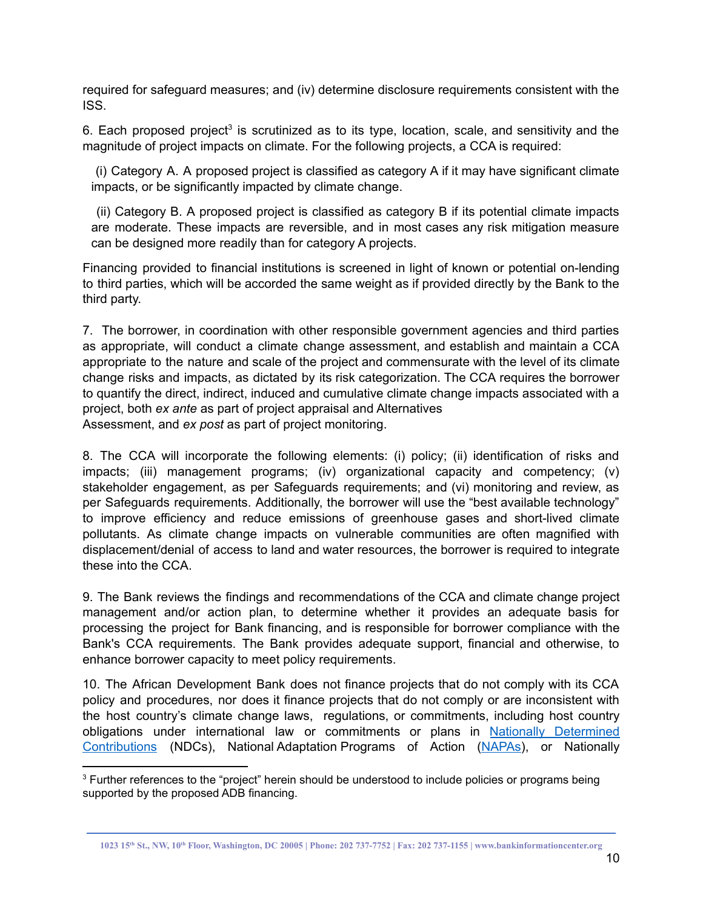required for safeguard measures; and (iv) determine disclosure requirements consistent with the ISS.

6. Each proposed project<sup>3</sup> is scrutinized as to its type, location, scale, and sensitivity and the magnitude of project impacts on climate. For the following projects, a CCA is required:

(i) Category A. A proposed project is classified as category A if it may have significant climate impacts, or be significantly impacted by climate change.

(ii) Category B. A proposed project is classified as category B if its potential climate impacts are moderate. These impacts are reversible, and in most cases any risk mitigation measure can be designed more readily than for category A projects.

Financing provided to financial institutions is screened in light of known or potential on-lending to third parties, which will be accorded the same weight as if provided directly by the Bank to the third party.

7. The borrower, in coordination with other responsible government agencies and third parties as appropriate, will conduct a climate change assessment, and establish and maintain a CCA appropriate to the nature and scale of the project and commensurate with the level of its climate change risks and impacts, as dictated by its risk categorization. The CCA requires the borrower to quantify the direct, indirect, induced and cumulative climate change impacts associated with a project, both *ex ante* as part of project appraisal and Alternatives Assessment, and *ex post* as part of project monitoring.

8. The CCA will incorporate the following elements: (i) policy; (ii) identification of risks and impacts; (iii) management programs; (iv) organizational capacity and competency; (v) stakeholder engagement, as per Safeguards requirements; and (vi) monitoring and review, as per Safeguards requirements. Additionally, the borrower will use the "best available technology" to improve efficiency and reduce emissions of greenhouse gases and short-lived climate pollutants. As climate change impacts on vulnerable communities are often magnified with displacement/denial of access to land and water resources, the borrower is required to integrate these into the CCA.

9. The Bank reviews the findings and recommendations of the CCA and climate change project management and/or action plan, to determine whether it provides an adequate basis for processing the project for Bank financing, and is responsible for borrower compliance with the Bank's CCA requirements. The Bank provides adequate support, financial and otherwise, to enhance borrower capacity to meet policy requirements.

10. The African Development Bank does not finance projects that do not comply with its CCA policy and procedures, nor does it finance projects that do not comply or are inconsistent with the host country's climate change laws, regulations, or commitments, including host country obligations under international law or commitments or plans in Nationally [Determined](https://unfccc.int/process-and-meetings/the-paris-agreement/nationally-determined-contributions-ndcs) [Contributions](https://unfccc.int/process-and-meetings/the-paris-agreement/nationally-determined-contributions-ndcs) (NDCs), National Adaptation Programs of Action [\(NAPAs](https://unfccc.int/topics/resilience/workstreams/national-adaptation-programmes-of-action/introduction)), or Nationally

<sup>&</sup>lt;sup>3</sup> Further references to the "project" herein should be understood to include policies or programs being supported by the proposed ADB financing.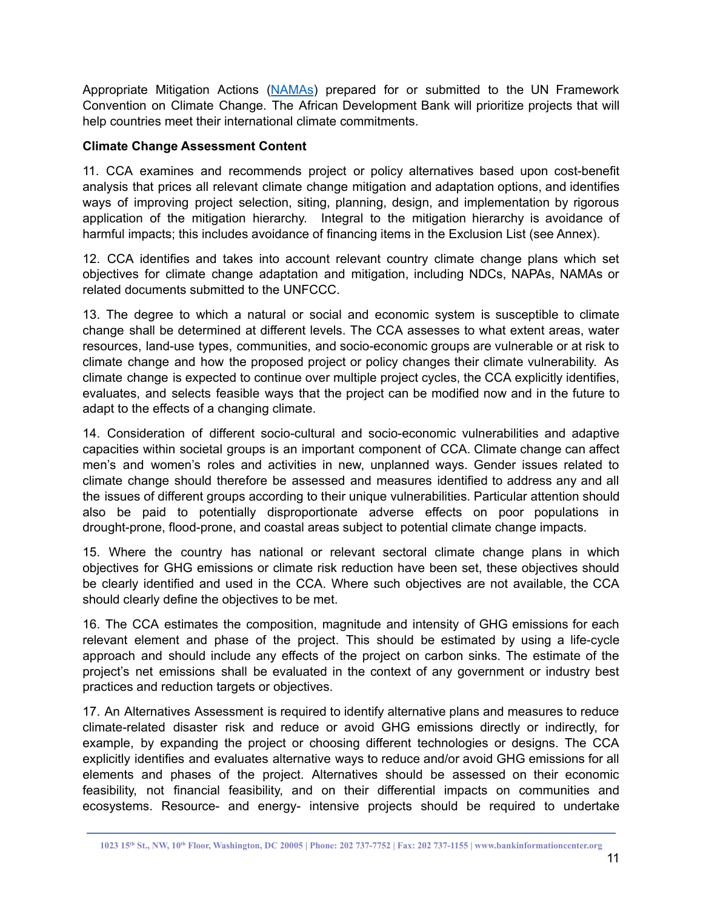Appropriate Mitigation Actions ([NAMAs](https://unfccc.int/topics/mitigation/workstreams/nationally-appropriate-mitigation-actions)) prepared for or submitted to the UN Framework Convention on Climate Change. The African Development Bank will prioritize projects that will help countries meet their international climate commitments.

### **Climate Change Assessment Content**

11. CCA examines and recommends project or policy alternatives based upon cost-benefit analysis that prices all relevant climate change mitigation and adaptation options, and identifies ways of improving project selection, siting, planning, design, and implementation by rigorous application of the mitigation hierarchy. Integral to the mitigation hierarchy is avoidance of harmful impacts; this includes avoidance of financing items in the Exclusion List (see Annex).

12. CCA identifies and takes into account relevant country climate change plans which set objectives for climate change adaptation and mitigation, including NDCs, NAPAs, NAMAs or related documents submitted to the UNFCCC.

13. The degree to which a natural or social and economic system is susceptible to climate change shall be determined at different levels. The CCA assesses to what extent areas, water resources, land-use types, communities, and socio-economic groups are vulnerable or at risk to climate change and how the proposed project or policy changes their climate vulnerability. As climate change is expected to continue over multiple project cycles, the CCA explicitly identifies, evaluates, and selects feasible ways that the project can be modified now and in the future to adapt to the effects of a changing climate.

14. Consideration of different socio-cultural and socio-economic vulnerabilities and adaptive capacities within societal groups is an important component of CCA. Climate change can affect men's and women's roles and activities in new, unplanned ways. Gender issues related to climate change should therefore be assessed and measures identified to address any and all the issues of different groups according to their unique vulnerabilities. Particular attention should also be paid to potentially disproportionate adverse effects on poor populations in drought-prone, flood-prone, and coastal areas subject to potential climate change impacts.

15. Where the country has national or relevant sectoral climate change plans in which objectives for GHG emissions or climate risk reduction have been set, these objectives should be clearly identified and used in the CCA. Where such objectives are not available, the CCA should clearly define the objectives to be met.

16. The CCA estimates the composition, magnitude and intensity of GHG emissions for each relevant element and phase of the project. This should be estimated by using a life-cycle approach and should include any effects of the project on carbon sinks. The estimate of the project's net emissions shall be evaluated in the context of any government or industry best practices and reduction targets or objectives.

17. An Alternatives Assessment is required to identify alternative plans and measures to reduce climate-related disaster risk and reduce or avoid GHG emissions directly or indirectly, for example, by expanding the project or choosing different technologies or designs. The CCA explicitly identifies and evaluates alternative ways to reduce and/or avoid GHG emissions for all elements and phases of the project. Alternatives should be assessed on their economic feasibility, not financial feasibility, and on their differential impacts on communities and ecosystems. Resource- and energy- intensive projects should be required to undertake

<sup>1023 15</sup>th St., NW, 10th Floor, Washington, DC 20005 | Phone: 202 737-7752 | Fax: 202 737-1155 | www.bankinformationcenter.org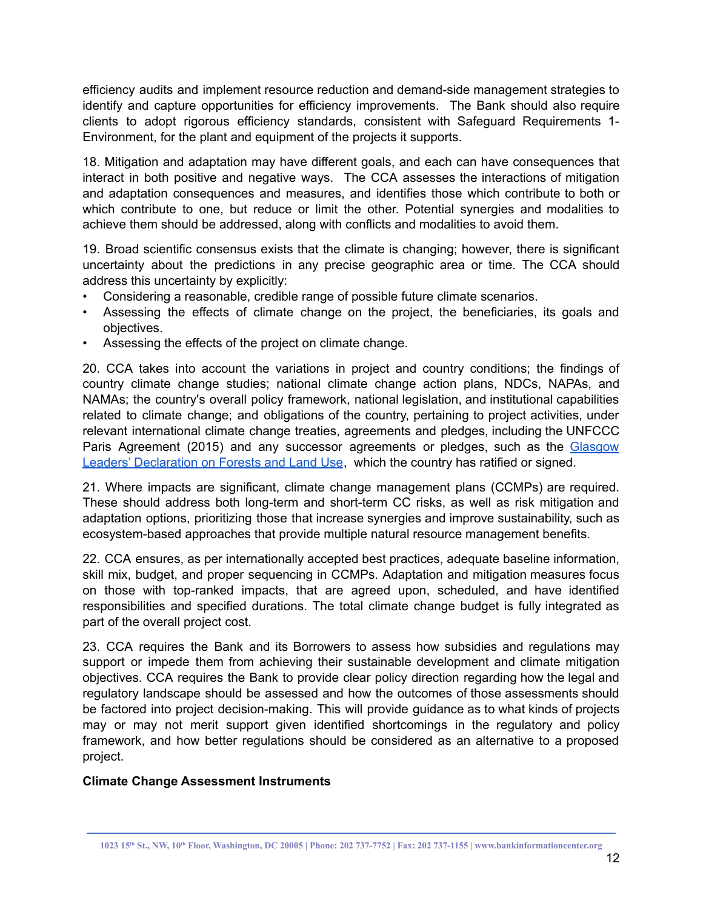efficiency audits and implement resource reduction and demand-side management strategies to identify and capture opportunities for efficiency improvements. The Bank should also require clients to adopt rigorous efficiency standards, consistent with Safeguard Requirements 1- Environment, for the plant and equipment of the projects it supports.

18. Mitigation and adaptation may have different goals, and each can have consequences that interact in both positive and negative ways. The CCA assesses the interactions of mitigation and adaptation consequences and measures, and identifies those which contribute to both or which contribute to one, but reduce or limit the other. Potential synergies and modalities to achieve them should be addressed, along with conflicts and modalities to avoid them.

19. Broad scientific consensus exists that the climate is changing; however, there is significant uncertainty about the predictions in any precise geographic area or time. The CCA should address this uncertainty by explicitly:

- Considering a reasonable, credible range of possible future climate scenarios.
- Assessing the effects of climate change on the project, the beneficiaries, its goals and objectives.
- Assessing the effects of the project on climate change.

20. CCA takes into account the variations in project and country conditions; the findings of country climate change studies; national climate change action plans, NDCs, NAPAs, and NAMAs; the country's overall policy framework, national legislation, and institutional capabilities related to climate change; and obligations of the country, pertaining to project activities, under relevant international climate change treaties, agreements and pledges, including the UNFCCC Paris Agreement (2015) and any successor agreements or pledges, such as the [Glasgow](https://ukcop26.org/glasgow-leaders-declaration-on-forests-and-land-use/) Leaders' [Declaration](https://ukcop26.org/glasgow-leaders-declaration-on-forests-and-land-use/) on Forests and Land Use, which the country has ratified or signed.

21. Where impacts are significant, climate change management plans (CCMPs) are required. These should address both long-term and short-term CC risks, as well as risk mitigation and adaptation options, prioritizing those that increase synergies and improve sustainability, such as ecosystem-based approaches that provide multiple natural resource management benefits.

22. CCA ensures, as per internationally accepted best practices, adequate baseline information, skill mix, budget, and proper sequencing in CCMPs. Adaptation and mitigation measures focus on those with top-ranked impacts, that are agreed upon, scheduled, and have identified responsibilities and specified durations. The total climate change budget is fully integrated as part of the overall project cost.

23. CCA requires the Bank and its Borrowers to assess how subsidies and regulations may support or impede them from achieving their sustainable development and climate mitigation objectives. CCA requires the Bank to provide clear policy direction regarding how the legal and regulatory landscape should be assessed and how the outcomes of those assessments should be factored into project decision-making. This will provide guidance as to what kinds of projects may or may not merit support given identified shortcomings in the regulatory and policy framework, and how better regulations should be considered as an alternative to a proposed project.

# **Climate Change Assessment Instruments**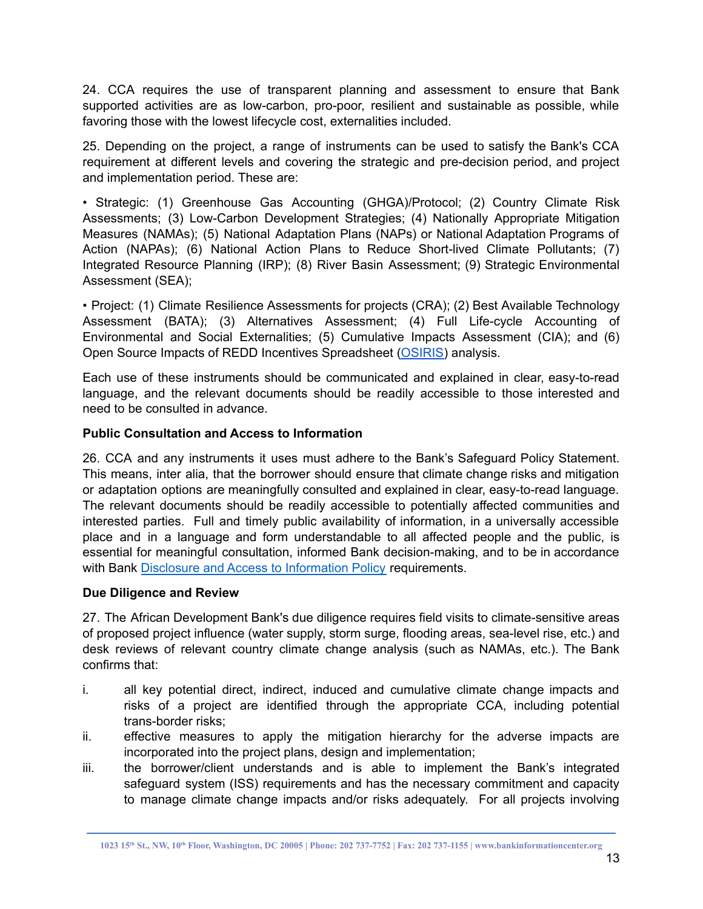24. CCA requires the use of transparent planning and assessment to ensure that Bank supported activities are as low-carbon, pro-poor, resilient and sustainable as possible, while favoring those with the lowest lifecycle cost, externalities included.

25. Depending on the project, a range of instruments can be used to satisfy the Bank's CCA requirement at different levels and covering the strategic and pre-decision period, and project and implementation period. These are:

• Strategic: (1) Greenhouse Gas Accounting (GHGA)/Protocol; (2) Country Climate Risk Assessments; (3) Low-Carbon Development Strategies; (4) Nationally Appropriate Mitigation Measures (NAMAs); (5) National Adaptation Plans (NAPs) or National Adaptation Programs of Action (NAPAs); (6) National Action Plans to Reduce Short-lived Climate Pollutants; (7) Integrated Resource Planning (IRP); (8) River Basin Assessment; (9) Strategic Environmental Assessment (SEA);

• Project: (1) Climate Resilience Assessments for projects (CRA); (2) Best Available Technology Assessment (BATA); (3) Alternatives Assessment; (4) Full Life-cycle Accounting of Environmental and Social Externalities; (5) Cumulative Impacts Assessment (CIA); and (6) Open Source Impacts of REDD Incentives Spreadsheet [\(OSIRIS\)](https://openei.org/wiki/OSIRIS_and_the_Collaborative_Modeling_Initiative_on_REDD_Economics) analysis.

Each use of these instruments should be communicated and explained in clear, easy-to-read language, and the relevant documents should be readily accessible to those interested and need to be consulted in advance.

### **Public Consultation and Access to Information**

26. CCA and any instruments it uses must adhere to the Bank's Safeguard Policy Statement. This means, inter alia, that the borrower should ensure that climate change risks and mitigation or adaptation options are meaningfully consulted and explained in clear, easy-to-read language. The relevant documents should be readily accessible to potentially affected communities and interested parties. Full and timely public availability of information, in a universally accessible place and in a language and form understandable to all affected people and the public, is essential for meaningful consultation, informed Bank decision-making, and to be in accordance with Bank Disclosure and Access to [Information](https://www.afdb.org/en/disclosure-and-access-to-information) Policy requirements.

### **Due Diligence and Review**

27. The African Development Bank's due diligence requires field visits to climate-sensitive areas of proposed project influence (water supply, storm surge, flooding areas, sea-level rise, etc.) and desk reviews of relevant country climate change analysis (such as NAMAs, etc.). The Bank confirms that:

- i. all key potential direct, indirect, induced and cumulative climate change impacts and risks of a project are identified through the appropriate CCA, including potential trans-border risks;
- ii. effective measures to apply the mitigation hierarchy for the adverse impacts are incorporated into the project plans, design and implementation;
- iii. the borrower/client understands and is able to implement the Bank's integrated safeguard system (ISS) requirements and has the necessary commitment and capacity to manage climate change impacts and/or risks adequately. For all projects involving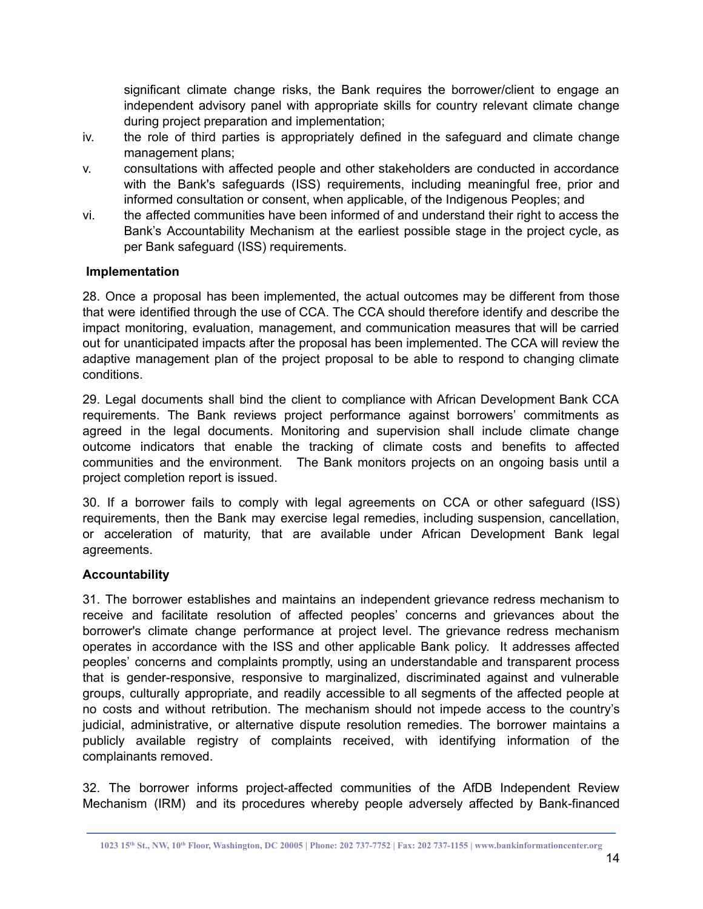significant climate change risks, the Bank requires the borrower/client to engage an independent advisory panel with appropriate skills for country relevant climate change during project preparation and implementation;

- iv. the role of third parties is appropriately defined in the safeguard and climate change management plans;
- v. consultations with affected people and other stakeholders are conducted in accordance with the Bank's safeguards (ISS) requirements, including meaningful free, prior and informed consultation or consent, when applicable, of the Indigenous Peoples; and
- vi. the affected communities have been informed of and understand their right to access the Bank's Accountability Mechanism at the earliest possible stage in the project cycle, as per Bank safeguard (ISS) requirements.

### **Implementation**

28. Once a proposal has been implemented, the actual outcomes may be different from those that were identified through the use of CCA. The CCA should therefore identify and describe the impact monitoring, evaluation, management, and communication measures that will be carried out for unanticipated impacts after the proposal has been implemented. The CCA will review the adaptive management plan of the project proposal to be able to respond to changing climate conditions.

29. Legal documents shall bind the client to compliance with African Development Bank CCA requirements. The Bank reviews project performance against borrowers' commitments as agreed in the legal documents. Monitoring and supervision shall include climate change outcome indicators that enable the tracking of climate costs and benefits to affected communities and the environment. The Bank monitors projects on an ongoing basis until a project completion report is issued.

30. If a borrower fails to comply with legal agreements on CCA or other safeguard (ISS) requirements, then the Bank may exercise legal remedies, including suspension, cancellation, or acceleration of maturity, that are available under African Development Bank legal agreements.

# **Accountability**

31. The borrower establishes and maintains an independent grievance redress mechanism to receive and facilitate resolution of affected peoples' concerns and grievances about the borrower's climate change performance at project level. The grievance redress mechanism operates in accordance with the ISS and other applicable Bank policy. It addresses affected peoples' concerns and complaints promptly, using an understandable and transparent process that is gender-responsive, responsive to marginalized, discriminated against and vulnerable groups, culturally appropriate, and readily accessible to all segments of the affected people at no costs and without retribution. The mechanism should not impede access to the country's judicial, administrative, or alternative dispute resolution remedies. The borrower maintains a publicly available registry of complaints received, with identifying information of the complainants removed.

32. The borrower informs project-affected communities of the AfDB Independent Review Mechanism (IRM) and its procedures whereby people adversely affected by Bank-financed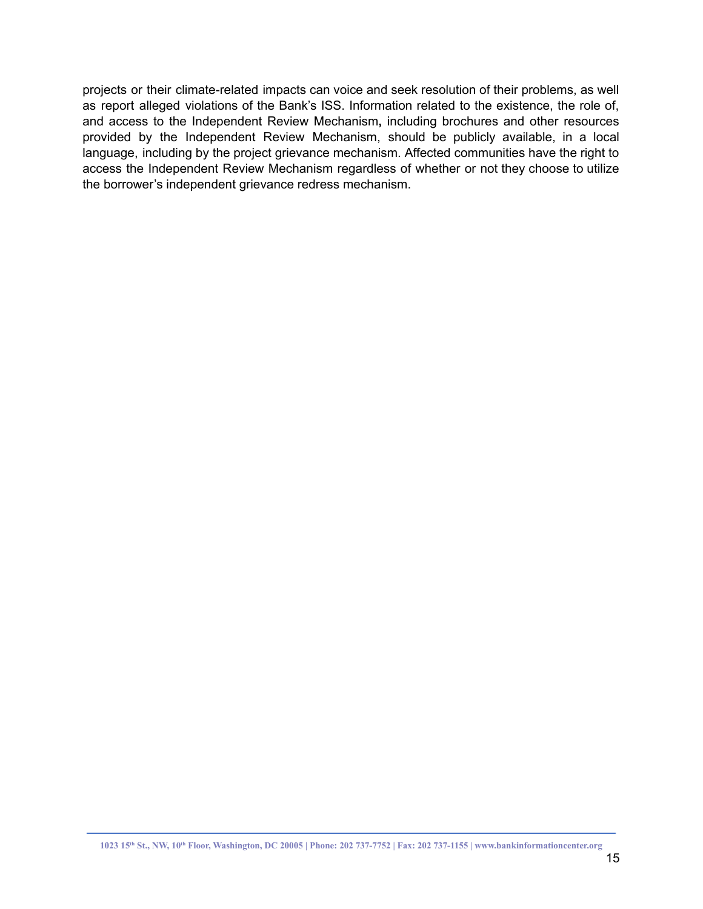projects or their climate-related impacts can voice and seek resolution of their problems, as well as report alleged violations of the Bank's ISS. Information related to the existence, the role of, and access to the Independent Review Mechanism**,** including brochures and other resources provided by the Independent Review Mechanism, should be publicly available, in a local language, including by the project grievance mechanism. Affected communities have the right to access the Independent Review Mechanism regardless of whether or not they choose to utilize the borrower's independent grievance redress mechanism.